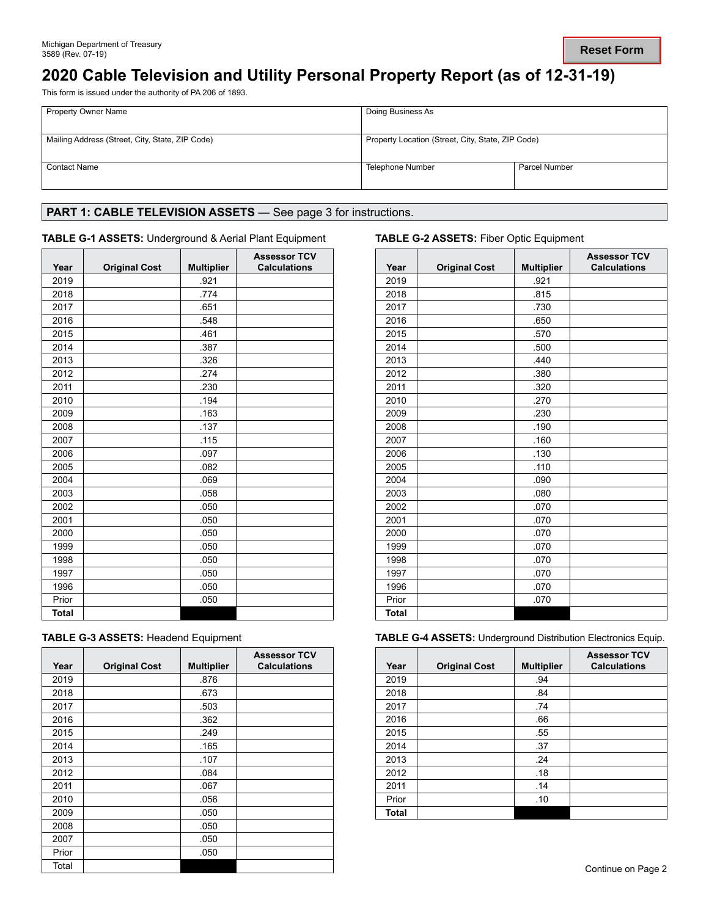# **2020 Cable Television and Utility Personal Property Report (as of 12-31-19)**

This form is issued under the authority of PA 206 of 1893.

| <b>Property Owner Name</b>                      | Doing Business As                                 |               |
|-------------------------------------------------|---------------------------------------------------|---------------|
| Mailing Address (Street, City, State, ZIP Code) | Property Location (Street, City, State, ZIP Code) |               |
| <b>Contact Name</b>                             | Telephone Number                                  | Parcel Number |

## PART 1: CABLE TELEVISION ASSETS - See page 3 for instructions.

### **TABLE G-1 ASSETS:** Underground & Aerial Plant Equipment **TABLE G-2 ASSETS:** Fiber Optic Equipment

| Year         | <b>Original Cost</b> | <b>Multiplier</b> | <b>Assessor TCV</b><br><b>Calculations</b> |
|--------------|----------------------|-------------------|--------------------------------------------|
| 2019         |                      | .921              |                                            |
| 2018         |                      | .774              |                                            |
| 2017         |                      | .651              |                                            |
| 2016         |                      | .548              |                                            |
| 2015         |                      | .461              |                                            |
| 2014         |                      | .387              |                                            |
| 2013         |                      | .326              |                                            |
| 2012         |                      | .274              |                                            |
| 2011         |                      | .230              |                                            |
| 2010         |                      | .194              |                                            |
| 2009         |                      | .163              |                                            |
| 2008         |                      | .137              |                                            |
| 2007         |                      | .115              |                                            |
| 2006         |                      | .097              |                                            |
| 2005         |                      | .082              |                                            |
| 2004         |                      | .069              |                                            |
| 2003         |                      | .058              |                                            |
| 2002         |                      | .050              |                                            |
| 2001         |                      | .050              |                                            |
| 2000         |                      | .050              |                                            |
| 1999         |                      | .050              |                                            |
| 1998         |                      | .050              |                                            |
| 1997         |                      | .050              |                                            |
| 1996         |                      | .050              |                                            |
| Prior        |                      | .050              |                                            |
| <b>Total</b> |                      |                   |                                            |

| <b>TABLE G-3 ASSETS: Headend Equipment</b> |
|--------------------------------------------|
|--------------------------------------------|

| Year  | <b>Original Cost</b> | <b>Multiplier</b> | <b>Assessor TCV</b><br><b>Calculations</b> |
|-------|----------------------|-------------------|--------------------------------------------|
| 2019  |                      | .876              |                                            |
| 2018  |                      | .673              |                                            |
| 2017  |                      | .503              |                                            |
| 2016  |                      | .362              |                                            |
| 2015  |                      | .249              |                                            |
| 2014  |                      | .165              |                                            |
| 2013  |                      | .107              |                                            |
| 2012  |                      | .084              |                                            |
| 2011  |                      | .067              |                                            |
| 2010  |                      | .056              |                                            |
| 2009  |                      | .050              |                                            |
| 2008  |                      | .050              |                                            |
| 2007  |                      | .050              |                                            |
| Prior |                      | .050              |                                            |
| Total |                      |                   |                                            |

| Year         | <b>Original Cost</b> | <b>Multiplier</b> | <b>Assessor TCV</b><br><b>Calculations</b> |
|--------------|----------------------|-------------------|--------------------------------------------|
| 2019         |                      | .921              |                                            |
| 2018         |                      | .815              |                                            |
| 2017         |                      | .730              |                                            |
| 2016         |                      | .650              |                                            |
| 2015         |                      | .570              |                                            |
| 2014         |                      | .500              |                                            |
| 2013         |                      | .440              |                                            |
| 2012         |                      | .380              |                                            |
| 2011         |                      | .320              |                                            |
| 2010         |                      | .270              |                                            |
| 2009         |                      | .230              |                                            |
| 2008         |                      | .190              |                                            |
| 2007         |                      | .160              |                                            |
| 2006         |                      | .130              |                                            |
| 2005         |                      | .110              |                                            |
| 2004         |                      | .090              |                                            |
| 2003         |                      | .080              |                                            |
| 2002         |                      | .070              |                                            |
| 2001         |                      | .070              |                                            |
| 2000         |                      | .070              |                                            |
| 1999         |                      | .070              |                                            |
| 1998         |                      | .070              |                                            |
| 1997         |                      | .070              |                                            |
| 1996         |                      | .070              |                                            |
| Prior        |                      | .070              |                                            |
| <b>Total</b> |                      |                   |                                            |

**TABLE G-4 ASSETS: Underground Distribution Electronics Equip.** 

| Year  | <b>Original Cost</b> | <b>Multiplier</b> | <b>Assessor TCV</b><br><b>Calculations</b> |
|-------|----------------------|-------------------|--------------------------------------------|
| 2019  |                      | .94               |                                            |
| 2018  |                      | .84               |                                            |
| 2017  |                      | .74               |                                            |
| 2016  |                      | .66               |                                            |
| 2015  |                      | .55               |                                            |
| 2014  |                      | .37               |                                            |
| 2013  |                      | .24               |                                            |
| 2012  |                      | .18               |                                            |
| 2011  |                      | .14               |                                            |
| Prior |                      | .10               |                                            |
| Total |                      |                   |                                            |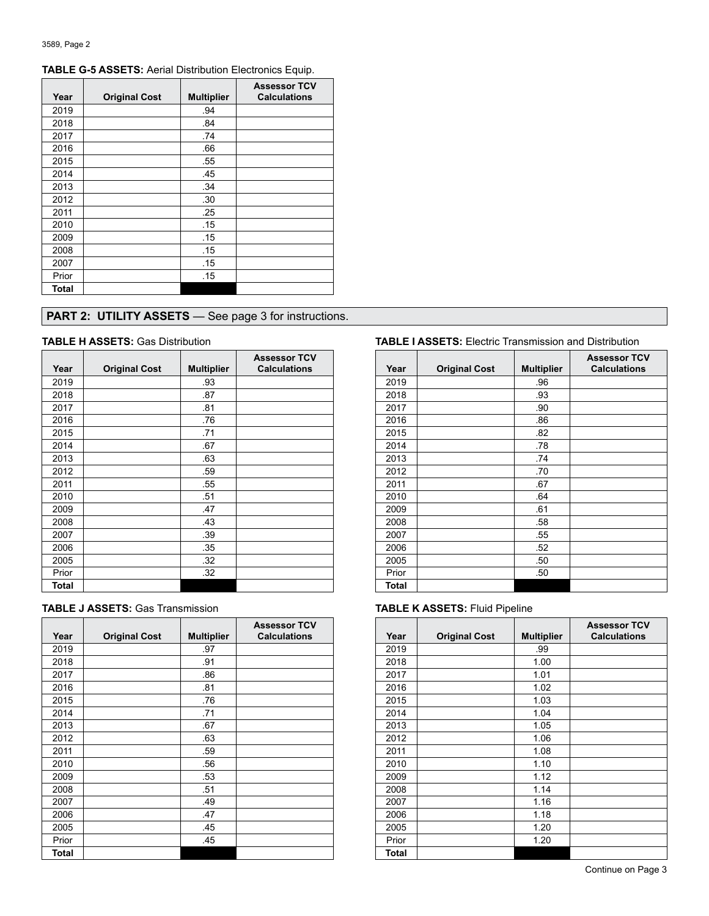| Year  | <b>Original Cost</b> | <b>Multiplier</b> | <b>Assessor TCV</b><br><b>Calculations</b> |
|-------|----------------------|-------------------|--------------------------------------------|
| 2019  |                      | .94               |                                            |
| 2018  |                      | .84               |                                            |
| 2017  |                      | .74               |                                            |
| 2016  |                      | .66               |                                            |
| 2015  |                      | .55               |                                            |
| 2014  |                      | .45               |                                            |
| 2013  |                      | .34               |                                            |
| 2012  |                      | .30               |                                            |
| 2011  |                      | .25               |                                            |
| 2010  |                      | .15               |                                            |
| 2009  |                      | .15               |                                            |
| 2008  |                      | .15               |                                            |
| 2007  |                      | .15               |                                            |
| Prior |                      | .15               |                                            |
| Total |                      |                   |                                            |

## **TABLE G-5 ASSETS:** Aerial Distribution Electronics Equip.

## **PART 2: UTILITY ASSETS** — See page 3 for instructions.

| Year  | <b>Original Cost</b> | <b>Multiplier</b> | <b>Assessor TCV</b><br><b>Calculations</b> |
|-------|----------------------|-------------------|--------------------------------------------|
| 2019  |                      | .93               |                                            |
| 2018  |                      | .87               |                                            |
| 2017  |                      | .81               |                                            |
| 2016  |                      | .76               |                                            |
| 2015  |                      | .71               |                                            |
| 2014  |                      | .67               |                                            |
| 2013  |                      | .63               |                                            |
| 2012  |                      | .59               |                                            |
| 2011  |                      | .55               |                                            |
| 2010  |                      | .51               |                                            |
| 2009  |                      | .47               |                                            |
| 2008  |                      | .43               |                                            |
| 2007  |                      | .39               |                                            |
| 2006  |                      | .35               |                                            |
| 2005  |                      | .32               |                                            |
| Prior |                      | .32               |                                            |
| Total |                      |                   |                                            |

|  |  | <b>TABLE J ASSETS: Gas Transmission</b> |
|--|--|-----------------------------------------|
|--|--|-----------------------------------------|

| Year  | <b>Original Cost</b> | <b>Multiplier</b> | <b>Assessor TCV</b><br><b>Calculations</b> |
|-------|----------------------|-------------------|--------------------------------------------|
| 2019  |                      | .97               |                                            |
| 2018  |                      | .91               |                                            |
| 2017  |                      | .86               |                                            |
| 2016  |                      | .81               |                                            |
| 2015  |                      | .76               |                                            |
| 2014  |                      | .71               |                                            |
| 2013  |                      | .67               |                                            |
| 2012  |                      | .63               |                                            |
| 2011  |                      | .59               |                                            |
| 2010  |                      | .56               |                                            |
| 2009  |                      | .53               |                                            |
| 2008  |                      | .51               |                                            |
| 2007  |                      | .49               |                                            |
| 2006  |                      | .47               |                                            |
| 2005  |                      | .45               |                                            |
| Prior |                      | .45               |                                            |
| Total |                      |                   |                                            |

### **TABLE H ASSETS:** Gas Distribution **TABLE I ASSETS:** Electric Transmission and Distribution

| Year         | <b>Original Cost</b> | <b>Multiplier</b> | <b>Assessor TCV</b><br><b>Calculations</b> |
|--------------|----------------------|-------------------|--------------------------------------------|
| 2019         |                      | .96               |                                            |
| 2018         |                      | .93               |                                            |
| 2017         |                      | .90               |                                            |
| 2016         |                      | .86               |                                            |
| 2015         |                      | .82               |                                            |
| 2014         |                      | .78               |                                            |
| 2013         |                      | .74               |                                            |
| 2012         |                      | .70               |                                            |
| 2011         |                      | .67               |                                            |
| 2010         |                      | .64               |                                            |
| 2009         |                      | .61               |                                            |
| 2008         |                      | .58               |                                            |
| 2007         |                      | .55               |                                            |
| 2006         |                      | .52               |                                            |
| 2005         |                      | .50               |                                            |
| Prior        |                      | .50               |                                            |
| <b>Total</b> |                      |                   |                                            |

### **TABLE K ASSETS: Fluid Pipeline**

| Year  | <b>Original Cost</b> | <b>Multiplier</b> | <b>Assessor TCV</b><br><b>Calculations</b> |
|-------|----------------------|-------------------|--------------------------------------------|
| 2019  |                      | .99               |                                            |
| 2018  |                      | 1.00              |                                            |
| 2017  |                      | 1.01              |                                            |
| 2016  |                      | 1.02              |                                            |
| 2015  |                      | 1.03              |                                            |
| 2014  |                      | 1.04              |                                            |
| 2013  |                      | 1.05              |                                            |
| 2012  |                      | 1.06              |                                            |
| 2011  |                      | 1.08              |                                            |
| 2010  |                      | 1.10              |                                            |
| 2009  |                      | 1.12              |                                            |
| 2008  |                      | 1.14              |                                            |
| 2007  |                      | 1.16              |                                            |
| 2006  |                      | 1.18              |                                            |
| 2005  |                      | 1.20              |                                            |
| Prior |                      | 1.20              |                                            |
| Total |                      |                   |                                            |